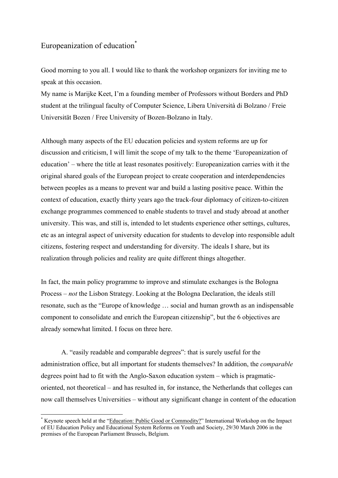## Europeanization of education<sup>[\\*](#page-0-0)</sup>

 $\overline{a}$ 

Good morning to you all. I would like to thank the workshop organizers for inviting me to speak at this occasion.

My name is Marijke Keet, I'm a founding member of Professors without Borders and PhD student at the trilingual faculty of Computer Science, Libera Università di Bolzano / Freie Universität Bozen / Free University of Bozen-Bolzano in Italy.

Although many aspects of the EU education policies and system reforms are up for discussion and criticism, I will limit the scope of my talk to the theme 'Europeanization of education' – where the title at least resonates positively: Europeanization carries with it the original shared goals of the European project to create cooperation and interdependencies between peoples as a means to prevent war and build a lasting positive peace. Within the context of education, exactly thirty years ago the track-four diplomacy of citizen-to-citizen exchange programmes commenced to enable students to travel and study abroad at another university. This was, and still is, intended to let students experience other settings, cultures, etc as an integral aspect of university education for students to develop into responsible adult citizens, fostering respect and understanding for diversity. The ideals I share, but its realization through policies and reality are quite different things altogether.

In fact, the main policy programme to improve and stimulate exchanges is the Bologna Process – *not* the Lisbon Strategy. Looking at the Bologna Declaration, the ideals still resonate, such as the "Europe of knowledge … social and human growth as an indispensable component to consolidate and enrich the European citizenship", but the 6 objectives are already somewhat limited. I focus on three here.

A. "easily readable and comparable degrees": that is surely useful for the administration office, but all important for students themselves? In addition, the *comparable* degrees point had to fit with the Anglo-Saxon education system – which is pragmaticoriented, not theoretical – and has resulted in, for instance, the Netherlands that colleges can now call themselves Universities – without any significant change in content of the education

<span id="page-0-0"></span><sup>\*</sup> Keynote speech held at the "Education: Public Good or Commodity?" International Workshop on the Impact of EU Education Policy and Educational System Reforms on Youth and Society, 29/30 March 2006 in the premises of the European Parliament Brussels, Belgium.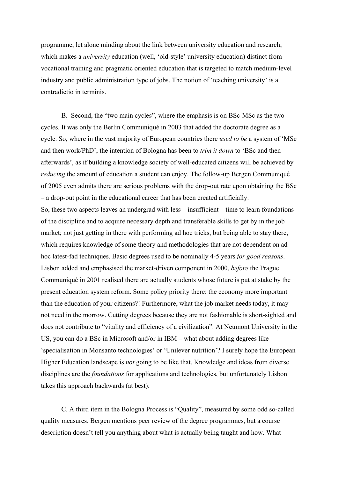programme, let alone minding about the link between university education and research, which makes a *university* education (well, 'old-style' university education) distinct from vocational training and pragmatic oriented education that is targeted to match medium-level industry and public administration type of jobs. The notion of 'teaching university' is a contradictio in terminis.

B. Second, the "two main cycles", where the emphasis is on BSc-MSc as the two cycles. It was only the Berlin Communiqué in 2003 that added the doctorate degree as a cycle. So, where in the vast majority of European countries there *used to be* a system of 'MSc and then work/PhD', the intention of Bologna has been to *trim it down* to 'BSc and then afterwards', as if building a knowledge society of well-educated citizens will be achieved by *reducing* the amount of education a student can enjoy. The follow-up Bergen Communiqué of 2005 even admits there are serious problems with the drop-out rate upon obtaining the BSc – a drop-out point in the educational career that has been created artificially.

So, these two aspects leaves an undergrad with less – insufficient – time to learn foundations of the discipline and to acquire necessary depth and transferable skills to get by in the job market; not just getting in there with performing ad hoc tricks, but being able to stay there, which requires knowledge of some theory and methodologies that are not dependent on ad hoc latest-fad techniques. Basic degrees used to be nominally 4-5 years *for good reasons*. Lisbon added and emphasised the market-driven component in 2000, *before* the Prague Communiqué in 2001 realised there are actually students whose future is put at stake by the present education system reform. Some policy priority there: the economy more important than the education of your citizens?! Furthermore, what the job market needs today, it may not need in the morrow. Cutting degrees because they are not fashionable is short-sighted and does not contribute to "vitality and efficiency of a civilization". At Neumont University in the US, you can do a BSc in Microsoft and/or in IBM – what about adding degrees like 'specialisation in Monsanto technologies' or 'Unilever nutrition'? I surely hope the European Higher Education landscape is *not* going to be like that. Knowledge and ideas from diverse disciplines are the *foundations* for applications and technologies, but unfortunately Lisbon takes this approach backwards (at best).

 C. A third item in the Bologna Process is "Quality", measured by some odd so-called quality measures. Bergen mentions peer review of the degree programmes, but a course description doesn't tell you anything about what is actually being taught and how. What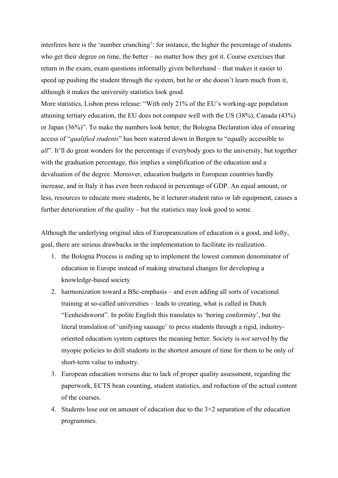interferes here is the 'number crunching': for instance, the higher the percentage of students who get their degree on time, the better – no matter how they got it. Course exercises that return in the exam, exam questions informally given beforehand – that makes it easier to speed up pushing the student through the system, but he or she doesn't learn much from it, although it makes the university statistics look good.

More statistics, Lisbon press release: "With only 21% of the EU's working-age population attaining tertiary education, the EU does not compare well with the US (38%), Canada (43%) or Japan (36%)". To make the numbers look better, the Bologna Declaration idea of ensuring access of "*qualified students*" has been watered down in Bergen to "equally accessible to *all*". It'll do great wonders for the percentage if everybody goes to the university, but together with the graduation percentage, this implies a simplification of the education and a devaluation of the degree. Moreover, education budgets in European countries hardly increase, and in Italy it has even been reduced in percentage of GDP. An equal amount, or less, resources to educate more students, be it lecturer:student ratio or lab equipment, causes a further deterioration of the quality – but the statistics may look good to some.

Although the underlying original idea of Europeanization of education is a good, and lofty, goal, there are serious drawbacks in the implementation to facilitate its realization.

- 1. the Bologna Process is ending up to implement the lowest common denominator of education in Europe instead of making structural changes for developing a knowledge-based society
- 2. harmonization toward a BSc-emphasis and even adding all sorts of vocational training at so-called universities – leads to creating, what is called in Dutch "Eenheidsworst". In polite English this translates to 'boring conformity', but the literal translation of 'unifying sausage' to press students through a rigid, industryoriented education system captures the meaning better. Society is *not* served by the myopic policies to drill students in the shortest amount of time for them to be only of short-term value to industry.
- 3. European education worsens due to lack of proper quality assessment, regarding the paperwork, ECTS bean counting, student statistics, and reduction of the actual content of the courses.
- 4. Students lose out on amount of education due to the 3+2 separation of the education programmes.